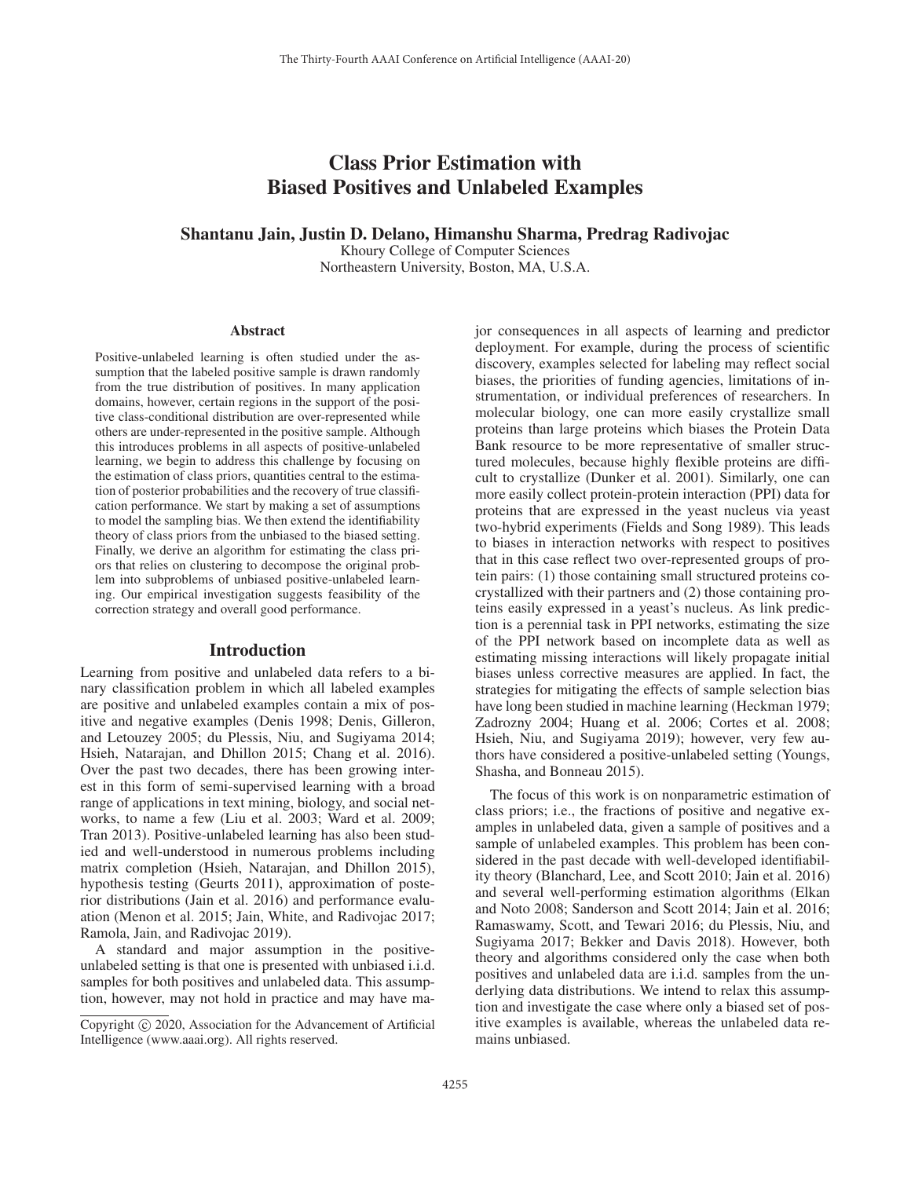# Class Prior Estimation with Biased Positives and Unlabeled Examples

# Shantanu Jain, Justin D. Delano, Himanshu Sharma, Predrag Radivojac

Khoury College of Computer Sciences Northeastern University, Boston, MA, U.S.A.

#### **Abstract**

Positive-unlabeled learning is often studied under the assumption that the labeled positive sample is drawn randomly from the true distribution of positives. In many application domains, however, certain regions in the support of the positive class-conditional distribution are over-represented while others are under-represented in the positive sample. Although this introduces problems in all aspects of positive-unlabeled learning, we begin to address this challenge by focusing on the estimation of class priors, quantities central to the estimation of posterior probabilities and the recovery of true classification performance. We start by making a set of assumptions to model the sampling bias. We then extend the identifiability theory of class priors from the unbiased to the biased setting. Finally, we derive an algorithm for estimating the class priors that relies on clustering to decompose the original problem into subproblems of unbiased positive-unlabeled learning. Our empirical investigation suggests feasibility of the correction strategy and overall good performance.

## Introduction

Learning from positive and unlabeled data refers to a binary classification problem in which all labeled examples are positive and unlabeled examples contain a mix of positive and negative examples (Denis 1998; Denis, Gilleron, and Letouzey 2005; du Plessis, Niu, and Sugiyama 2014; Hsieh, Natarajan, and Dhillon 2015; Chang et al. 2016). Over the past two decades, there has been growing interest in this form of semi-supervised learning with a broad range of applications in text mining, biology, and social networks, to name a few (Liu et al. 2003; Ward et al. 2009; Tran 2013). Positive-unlabeled learning has also been studied and well-understood in numerous problems including matrix completion (Hsieh, Natarajan, and Dhillon 2015), hypothesis testing (Geurts 2011), approximation of posterior distributions (Jain et al. 2016) and performance evaluation (Menon et al. 2015; Jain, White, and Radivojac 2017; Ramola, Jain, and Radivojac 2019).

A standard and major assumption in the positiveunlabeled setting is that one is presented with unbiased i.i.d. samples for both positives and unlabeled data. This assumption, however, may not hold in practice and may have major consequences in all aspects of learning and predictor deployment. For example, during the process of scientific discovery, examples selected for labeling may reflect social biases, the priorities of funding agencies, limitations of instrumentation, or individual preferences of researchers. In molecular biology, one can more easily crystallize small proteins than large proteins which biases the Protein Data Bank resource to be more representative of smaller structured molecules, because highly flexible proteins are difficult to crystallize (Dunker et al. 2001). Similarly, one can more easily collect protein-protein interaction (PPI) data for proteins that are expressed in the yeast nucleus via yeast two-hybrid experiments (Fields and Song 1989). This leads to biases in interaction networks with respect to positives that in this case reflect two over-represented groups of protein pairs: (1) those containing small structured proteins cocrystallized with their partners and (2) those containing proteins easily expressed in a yeast's nucleus. As link prediction is a perennial task in PPI networks, estimating the size of the PPI network based on incomplete data as well as estimating missing interactions will likely propagate initial biases unless corrective measures are applied. In fact, the strategies for mitigating the effects of sample selection bias have long been studied in machine learning (Heckman 1979; Zadrozny 2004; Huang et al. 2006; Cortes et al. 2008; Hsieh, Niu, and Sugiyama 2019); however, very few authors have considered a positive-unlabeled setting (Youngs, Shasha, and Bonneau 2015).

The focus of this work is on nonparametric estimation of class priors; i.e., the fractions of positive and negative examples in unlabeled data, given a sample of positives and a sample of unlabeled examples. This problem has been considered in the past decade with well-developed identifiability theory (Blanchard, Lee, and Scott 2010; Jain et al. 2016) and several well-performing estimation algorithms (Elkan and Noto 2008; Sanderson and Scott 2014; Jain et al. 2016; Ramaswamy, Scott, and Tewari 2016; du Plessis, Niu, and Sugiyama 2017; Bekker and Davis 2018). However, both theory and algorithms considered only the case when both positives and unlabeled data are i.i.d. samples from the underlying data distributions. We intend to relax this assumption and investigate the case where only a biased set of positive examples is available, whereas the unlabeled data remains unbiased.

Copyright  $\odot$  2020, Association for the Advancement of Artificial Intelligence (www.aaai.org). All rights reserved.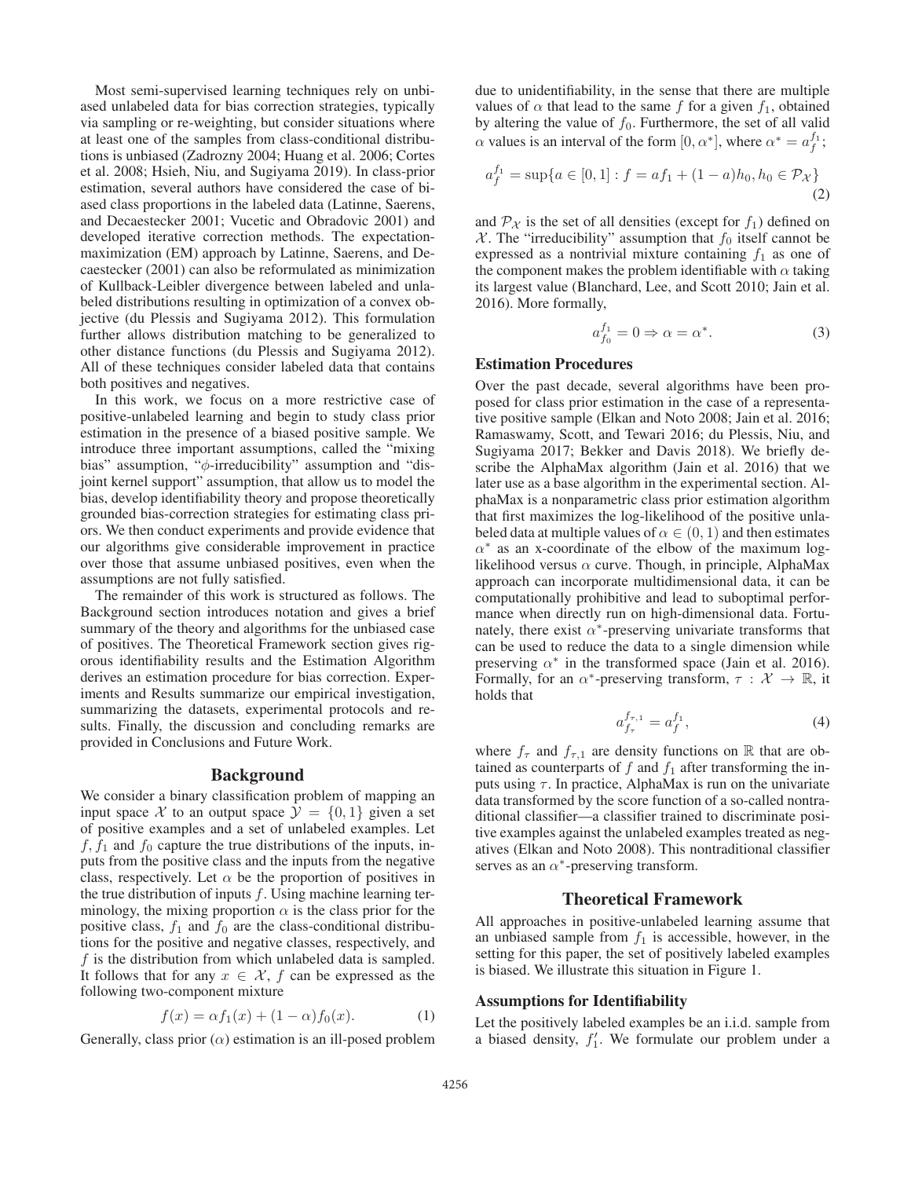Most semi-supervised learning techniques rely on unbiased unlabeled data for bias correction strategies, typically via sampling or re-weighting, but consider situations where at least one of the samples from class-conditional distributions is unbiased (Zadrozny 2004; Huang et al. 2006; Cortes et al. 2008; Hsieh, Niu, and Sugiyama 2019). In class-prior estimation, several authors have considered the case of biased class proportions in the labeled data (Latinne, Saerens, and Decaestecker 2001; Vucetic and Obradovic 2001) and developed iterative correction methods. The expectationmaximization (EM) approach by Latinne, Saerens, and Decaestecker (2001) can also be reformulated as minimization of Kullback-Leibler divergence between labeled and unlabeled distributions resulting in optimization of a convex objective (du Plessis and Sugiyama 2012). This formulation further allows distribution matching to be generalized to other distance functions (du Plessis and Sugiyama 2012). All of these techniques consider labeled data that contains both positives and negatives.

In this work, we focus on a more restrictive case of positive-unlabeled learning and begin to study class prior estimation in the presence of a biased positive sample. We introduce three important assumptions, called the "mixing bias" assumption, "φ-irreducibility" assumption and "disjoint kernel support" assumption, that allow us to model the bias, develop identifiability theory and propose theoretically grounded bias-correction strategies for estimating class priors. We then conduct experiments and provide evidence that our algorithms give considerable improvement in practice over those that assume unbiased positives, even when the assumptions are not fully satisfied.

The remainder of this work is structured as follows. The Background section introduces notation and gives a brief summary of the theory and algorithms for the unbiased case of positives. The Theoretical Framework section gives rigorous identifiability results and the Estimation Algorithm derives an estimation procedure for bias correction. Experiments and Results summarize our empirical investigation, summarizing the datasets, experimental protocols and results. Finally, the discussion and concluding remarks are provided in Conclusions and Future Work.

# Background

We consider a binary classification problem of mapping an input space X to an output space  $\mathcal{Y} = \{0, 1\}$  given a set of positive examples and a set of unlabeled examples. Let  $f, f_1$  and  $f_0$  capture the true distributions of the inputs, inputs from the positive class and the inputs from the negative class, respectively. Let  $\alpha$  be the proportion of positives in the true distribution of inputs  $f$ . Using machine learning terminology, the mixing proportion  $\alpha$  is the class prior for the positive class,  $f_1$  and  $f_0$  are the class-conditional distributions for the positive and negative classes, respectively, and  $f$  is the distribution from which unlabeled data is sampled. It follows that for any  $x \in \mathcal{X}$ , f can be expressed as the following two-component mixture

$$
f(x) = \alpha f_1(x) + (1 - \alpha)f_0(x).
$$
 (1)

Generally, class prior  $(\alpha)$  estimation is an ill-posed problem

due to unidentifiability, in the sense that there are multiple values of  $\alpha$  that lead to the same f for a given  $f_1$ , obtained by altering the value of  $f_0$ . Furthermore, the set of all valid  $\alpha$  values is an interval of the form  $[0, \alpha^*]$ , where  $\alpha^* = a_f^{f_1}$ ;

$$
a_f^{f_1} = \sup\{a \in [0, 1] : f = af_1 + (1 - a)h_0, h_0 \in \mathcal{P}_{\mathcal{X}}\}\
$$
\n(2)

and  $\mathcal{P}_{\mathcal{X}}$  is the set of all densities (except for  $f_1$ ) defined on X. The "irreducibility" assumption that  $f_0$  itself cannot be expressed as a nontrivial mixture containing  $f_1$  as one of the component makes the problem identifiable with  $\alpha$  taking its largest value (Blanchard, Lee, and Scott 2010; Jain et al. 2016). More formally,

$$
a_{f_0}^{f_1} = 0 \Rightarrow \alpha = \alpha^*.
$$
 (3)

## Estimation Procedures

Over the past decade, several algorithms have been proposed for class prior estimation in the case of a representative positive sample (Elkan and Noto 2008; Jain et al. 2016; Ramaswamy, Scott, and Tewari 2016; du Plessis, Niu, and Sugiyama 2017; Bekker and Davis 2018). We briefly describe the AlphaMax algorithm (Jain et al. 2016) that we later use as a base algorithm in the experimental section. AlphaMax is a nonparametric class prior estimation algorithm that first maximizes the log-likelihood of the positive unlabeled data at multiple values of  $\alpha \in (0, 1)$  and then estimates  $\alpha^*$  as an x-coordinate of the elbow of the maximum loglikelihood versus  $\alpha$  curve. Though, in principle, AlphaMax approach can incorporate multidimensional data, it can be computationally prohibitive and lead to suboptimal performance when directly run on high-dimensional data. Fortunately, there exist  $\alpha^*$ -preserving univariate transforms that can be used to reduce the data to a single dimension while preserving  $\alpha^*$  in the transformed space (Jain et al. 2016). Formally, for an  $\alpha^*$ -preserving transform,  $\tau : \mathcal{X} \to \mathbb{R}$ , it holds that

$$
a_{f_{\tau}}^{f_{\tau,1}} = a_f^{f_1},\tag{4}
$$

where  $f_{\tau}$  and  $f_{\tau,1}$  are density functions on R that are obtained as counterparts of  $f$  and  $f_1$  after transforming the inputs using  $\tau$ . In practice, AlphaMax is run on the univariate data transformed by the score function of a so-called nontraditional classifier—a classifier trained to discriminate positive examples against the unlabeled examples treated as negatives (Elkan and Noto 2008). This nontraditional classifier serves as an  $\alpha^*$ -preserving transform.

# Theoretical Framework

All approaches in positive-unlabeled learning assume that an unbiased sample from  $f_1$  is accessible, however, in the setting for this paper, the set of positively labeled examples is biased. We illustrate this situation in Figure 1.

## Assumptions for Identifiability

Let the positively labeled examples be an i.i.d. sample from a biased density,  $f_1'$ . We formulate our problem under a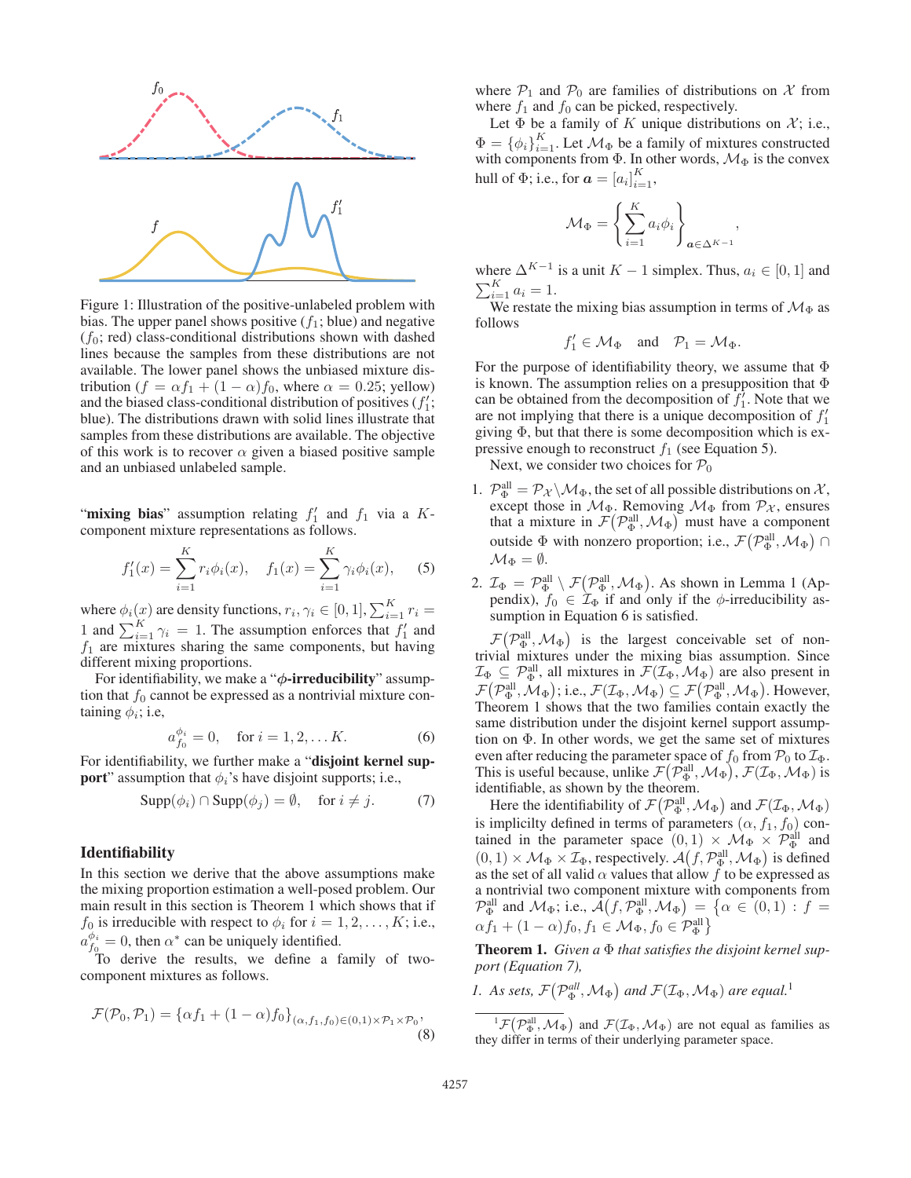

Figure 1: Illustration of the positive-unlabeled problem with bias. The upper panel shows positive  $(f_1; \text{blue})$  and negative  $(f_0; \text{ red})$  class-conditional distributions shown with dashed lines because the samples from these distributions are not available. The lower panel shows the unbiased mixture distribution ( $f = \alpha f_1 + (1 - \alpha) f_0$ , where  $\alpha = 0.25$ ; yellow) and the biased class-conditional distribution of positives  $(f_1)$ ; blue). The distributions drawn with solid lines illustrate that samples from these distributions are available. The objective of this work is to recover  $\alpha$  given a biased positive sample and an unbiased unlabeled sample.

"mixing bias" assumption relating  $f'_1$  and  $f_1$  via a Kcomponent mixture representations as follows.

$$
f_1'(x) = \sum_{i=1}^{K} r_i \phi_i(x), \quad f_1(x) = \sum_{i=1}^{K} \gamma_i \phi_i(x), \quad (5)
$$

where  $\phi_i(x)$  are density functions,  $r_i, \gamma_i \in [0,1], \sum_{i=1}^K r_i =$ 1 and  $\sum_{i=1}^{K} \gamma_i = 1$ . The assumption enforces that  $f'_1$  and  $f_1$  are mixtures sharing the same components, but having different mixing proportions.

For identifiability, we make a "*φ*-irreducibility" assumption that  $f_0$  cannot be expressed as a nontrivial mixture containing  $\phi_i$ ; i.e,

$$
a_{f_0}^{\phi_i} = 0, \quad \text{for } i = 1, 2, \dots K. \tag{6}
$$

For identifiability, we further make a "disjoint kernel sup**port**" assumption that  $\phi_i$ 's have disjoint supports; i.e.,

$$
Supp(\phi_i) \cap Supp(\phi_j) = \emptyset, \quad \text{for } i \neq j. \tag{7}
$$

## Identifiability

In this section we derive that the above assumptions make the mixing proportion estimation a well-posed problem. Our main result in this section is Theorem 1 which shows that if  $f_0$  is irreducible with respect to  $\phi_i$  for  $i = 1, 2, \dots, K$ ; i.e.,  $a_{f_0}^{\phi_i} = 0$ , then  $\alpha^*$  can be uniquely identified.

To derive the results, we define a family of twocomponent mixtures as follows.

$$
\mathcal{F}(\mathcal{P}_0, \mathcal{P}_1) = {\alpha f_1 + (1 - \alpha)f_0}_{(\alpha, f_1, f_0) \in (0, 1) \times \mathcal{P}_1 \times \mathcal{P}_0},
$$
\n(8)

where  $P_1$  and  $P_0$  are families of distributions on X from where  $f_1$  and  $f_0$  can be picked, respectively.

Let  $\Phi$  be a family of K unique distributions on  $\mathcal{X}$ ; i.e.,  $\Phi = {\phi_i}_{i=1}^K$ . Let  $\mathcal{M}_{\Phi}$  be a family of mixtures constructed with components from  $\Phi$ . In other words,  $\mathcal{M}_{\Phi}$  is the convex hull of  $\Phi$ ; i.e., for  $\boldsymbol{a} = [a_i]_{i=1}^K$ ,

$$
\mathcal{M}_{\Phi} = \left\{ \sum_{i=1}^{K} a_i \phi_i \right\}_{\mathbf{a} \in \Delta^{K-1}}
$$

,

where  $\Delta^{K-1}$  is a unit  $K-1$  simplex. Thus,  $a_i \in [0,1]$  and  $\sum_{i=1}^{K} a_i = 1.$ 

We restate the mixing bias assumption in terms of  $\mathcal{M}_{\Phi}$  as follows

$$
f_1' \in \mathcal{M}_{\Phi} \quad \text{and} \quad \mathcal{P}_1 = \mathcal{M}_{\Phi}.
$$

For the purpose of identifiability theory, we assume that  $\Phi$ is known. The assumption relies on a presupposition that Φ can be obtained from the decomposition of  $f_1'$ . Note that we are not implying that there is a unique decomposition of  $f_1'$ giving Φ, but that there is some decomposition which is expressive enough to reconstruct  $f_1$  (see Equation 5).

Next, we consider two choices for  $P_0$ 

- 1.  $\mathcal{P}_{\Phi}^{\text{all}} = \mathcal{P}_{\mathcal{X}} \backslash \mathcal{M}_{\Phi}$ , the set of all possible distributions on  $\mathcal{X}$ , except those in  $\mathcal{M}_{\Phi}$ . Removing  $\mathcal{M}_{\Phi}$  from  $\mathcal{P}_{\chi}$ , ensures that a mixture in  $\mathcal{F}(\mathcal{P}_{\Phi}^{\text{all}}, \mathcal{M}_{\Phi})$  must have a component outside  $\Phi$  with nonzero proportion; i.e.,  $\mathcal{F}(\mathcal{P}_{\Phi}^{\text{all}}, \mathcal{M}_{\Phi})$  $\mathcal{M}_{\Phi} = \emptyset.$
- 2.  $\mathcal{I}_{\Phi} = \mathcal{P}_{\Phi}^{\text{all}} \setminus \mathcal{F}(\mathcal{P}_{\Phi}^{\text{all}}, \mathcal{M}_{\Phi})$ . As shown in Lemma 1 (Appendix),  $f_0 \in \mathcal{I}_\Phi$  if and only if the  $\phi$ -irreducibility assumption in Equation 6 is satisfied.

 $\mathcal{F}(\mathcal{P}_{\Phi}^{\text{all}},\mathcal{M}_{\Phi})$  is the largest conceivable set of nontrivial mixtures under the mixing bias assumption. Since  $\mathcal{I}_{\Phi} \subseteq \mathcal{P}_{\Phi}^{\text{all}}$ , all mixtures in  $\mathcal{F}(\mathcal{I}_{\Phi}, \mathcal{M}_{\Phi})$  are also present in  $\mathcal{F}(\mathcal{P}_{\Phi}^{\text{all}}, \mathcal{M}_{\Phi});$  i.e.,  $\mathcal{F}(\mathcal{I}_{\Phi}, \mathcal{M}_{\Phi}) \subseteq \mathcal{F}(\mathcal{P}_{\Phi}^{\text{all}}, \mathcal{M}_{\Phi})$ . However, Theorem 1 shows that the two families contain exactly the same distribution under the disjoint kernel support assumption on  $\Phi$ . In other words, we get the same set of mixtures even after reducing the parameter space of  $f_0$  from  $\mathcal{P}_0$  to  $\mathcal{I}_\Phi$ . This is useful because, unlike  $\mathcal{F}(\mathcal{P}_{\Phi}^{\text{all}}, \mathcal{M}_{\Phi})$ ,  $\mathcal{F}(\mathcal{I}_{\Phi}, \mathcal{M}_{\Phi})$  is identifiable, as shown by the theorem.

Here the identifiability of  $\mathcal{F}(\mathcal{P}_{\Phi}^{\text{all}},\mathcal{M}_{\Phi})$  and  $\mathcal{F}(\mathcal{I}_{\Phi},\mathcal{M}_{\Phi})$ is implicilty defined in terms of parameters  $(\alpha, f_1, f_0)$  contained in the parameter space  $(0,1) \times \mathcal{M}_{\Phi} \times \mathcal{P}_{\Phi}^{\text{all}}$  and  $(0, 1) \times \mathcal{M}_{\Phi} \times \mathcal{I}_{\Phi}$ , respectively.  $\mathcal{A}(f, \mathcal{P}_{\Phi}^{\text{all}}, \mathcal{M}_{\Phi})$  is defined as the set of all valid  $\alpha$  values that allow f to be expressed as a nontrivial two component mixture with components from  $\mathcal{P}_{\Phi}^{\text{all}}$  and  $\mathcal{M}_{\Phi}$ ; i.e.,  $\mathcal{A}(f, \mathcal{P}_{\Phi}^{\text{all}}, \mathcal{M}_{\Phi}) = \{ \alpha \in (0,1) : f =$  $\alpha f_1 + (1 - \alpha)f_0, f_1 \in \mathcal{M}_{\Phi}, f_0 \in \mathcal{P}_{\Phi}^{\text{all}} \}$ 

Theorem 1. *Given a* Φ *that satisfies the disjoint kernel support (Equation 7),*

*1.* As sets,  $\mathcal{F}(\mathcal{P}_{\Phi}^{all},\mathcal{M}_{\Phi})$  and  $\mathcal{F}(\mathcal{I}_{\Phi},\mathcal{M}_{\Phi})$  are equal.<sup>1</sup>

 ${}^{1}\mathcal{F}(\mathcal{P}_{\Phi}^{\text{all}},\mathcal{M}_{\Phi})$  and  $\mathcal{F}(\mathcal{I}_{\Phi},\mathcal{M}_{\Phi})$  are not equal as families as they differ in terms of their underlying parameter space.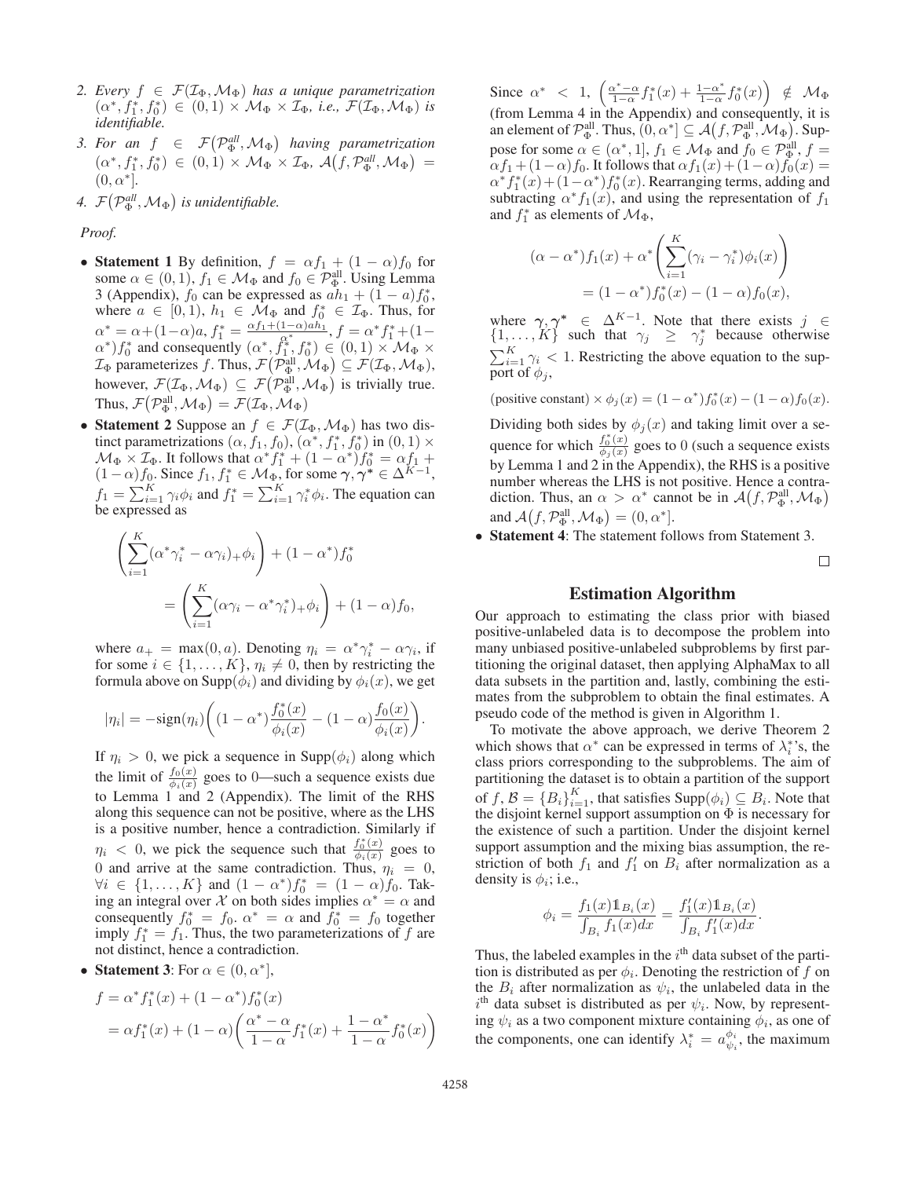- 2. Every  $f \in \mathcal{F}(\mathcal{I}_{\Phi}, \mathcal{M}_{\Phi})$  has a unique parametrization  $(\alpha^*, f_1^*, f_0^*) \in (0, 1) \times \mathcal{M}_{\Phi} \times \mathcal{I}_{\Phi}, \text{ i.e., } \mathcal{F}(\mathcal{I}_{\Phi}, \mathcal{M}_{\Phi}) \text{ is}$ *identifiable.*
- *3. For an*  $f \in \mathcal{F}(\mathcal{P}_{\Phi}^{all}, \mathcal{M}_{\Phi})$  having parametrization  $(\alpha^*, f_1^*, f_0^*) \in (0, 1) \times \mathcal{M}_{\Phi} \times \mathcal{I}_{\Phi}, \, \mathcal{A}\big(f, \mathcal{P}_{\Phi}^{all}, \mathcal{M}_{\Phi}\big) =$  $(0, \alpha^*]$ .
- *4.*  $\mathcal{F}(\mathcal{P}_{\Phi}^{all}, \mathcal{M}_{\Phi})$  is unidentifiable.

*Proof.*

- Statement 1 By definition,  $f = \alpha f_1 + (1 \alpha)f_0$  for some  $\alpha \in (0,1)$ ,  $f_1 \in \mathcal{M}_{\Phi}$  and  $f_0 \in \mathcal{P}_{\Phi}^{\text{all}}$ . Using Lemma 3 (Appendix),  $f_0$  can be expressed as  $a h_1 + (1 - a) f_0^*$ , where  $a \in [0, 1)$ ,  $h_1 \in \mathcal{M}_{\Phi}$  and  $f_0^* \in \mathcal{I}_{\Phi}$ . Thus, for  $\alpha^* = \alpha + (1-\alpha)a, f_1^* = \frac{\alpha f_1 + (1-\alpha)ah_1}{\alpha^*}, f = \alpha^* f_1^* + (1-\alpha)$  $(\alpha^*) f_0^*$  and consequently  $(\alpha^*, f_1^*, f_0^*) \in (0,1) \times \mathcal{M}_{\Phi}$  $\mathcal{I}_{\Phi}$  parameterizes f. Thus,  $\mathcal{F}(\mathcal{P}_{\Phi}^{\text{all}}, \mathcal{M}_{\Phi}) \subseteq \mathcal{F}(\mathcal{I}_{\Phi}, \mathcal{M}_{\Phi}),$ however,  $\mathcal{F}(\mathcal{I}_{\Phi},\mathcal{M}_{\Phi}) \subseteq \mathcal{F}(\mathcal{P}_{\Phi}^{\text{all}},\mathcal{M}_{\Phi})$  is trivially true. Thus,  $\mathcal{F}(\mathcal{P}_{\Phi}^{\text{all}},\mathcal{M}_{\Phi}) = \mathcal{F}(\mathcal{I}_{\Phi},\mathcal{M}_{\Phi})$
- Statement 2 Suppose an  $f \in \mathcal{F}(\mathcal{I}_{\Phi}, \mathcal{M}_{\Phi})$  has two distinct parametrizations  $(\alpha, f_1, f_0)$ ,  $(\alpha^*, f_1^*, f_0^*)$  in  $(0, 1) \times$  $\mathcal{M}_{\Phi} \times \mathcal{I}_{\Phi}$ . It follows that  $\alpha^* f_1^* + (1 - \alpha^*) f_0^* = \alpha f_1 +$  $(1-\alpha)f_0$ . Since  $f_1, f_1^* \in \mathcal{M}_{\Phi}$ , for some  $\gamma, \gamma^* \in \Delta^{K-1}$ ,  $f_1 = \sum_{i=1}^{K} \gamma_i \phi_i$  and  $f_1^* = \sum_{i=1}^{K} \gamma_i^* \phi_i$ . The equation can be expressed as

$$
\left(\sum_{i=1}^K (\alpha^* \gamma_i^* - \alpha \gamma_i)_+ \phi_i\right) + (1 - \alpha^*) f_0^*
$$

$$
= \left(\sum_{i=1}^K (\alpha \gamma_i - \alpha^* \gamma_i^*)_+ \phi_i\right) + (1 - \alpha) f_0,
$$

where  $a_+ = \max(0, a)$ . Denoting  $\eta_i = \alpha^* \gamma_i^* - \alpha \gamma_i$ , if for some  $i \in \{1, \ldots, K\}$ ,  $\eta_i \neq 0$ , then by restricting the formula above on Supp( $\phi_i$ ) and dividing by  $\phi_i(x)$ , we get

$$
|\eta_i| = -\text{sign}(\eta_i) \bigg( (1-\alpha^*) \frac{f_0^*(x)}{\phi_i(x)} - (1-\alpha) \frac{f_0(x)}{\phi_i(x)} \bigg).
$$

If  $\eta_i > 0$ , we pick a sequence in Supp $(\phi_i)$  along which the limit of  $\frac{f_0(x)}{\phi_i(x)}$  goes to 0—such a sequence exists due to Lemma 1 and 2 (Appendix). The limit of the RHS along this sequence can not be positive, where as the LHS is a positive number, hence a contradiction. Similarly if  $\eta_i$  < 0, we pick the sequence such that  $\frac{f_0^*(x)}{\phi_i(x)}$  goes to 0 and arrive at the same contradiction. Thus,  $\eta_i = 0$ ,  $\forall i \in \{1, ..., K\}$  and  $(1 - \alpha^*) f_0^* = (1 - \alpha) f_0$ . Taking an integral over X on both sides implies  $\alpha^* = \alpha$  and consequently  $f_0^* = f_0$ .  $\alpha^* = \alpha$  and  $f_0^* = f_0$  together imply  $f_1^* = f_1$ . Thus, the two parameterizations of f are not distinct, hence a contradiction.

• **Statement 3**: For  $\alpha \in (0, \alpha^*]$ ,

$$
f = \alpha^* f_1^*(x) + (1 - \alpha^*) f_0^*(x)
$$
  
=  $\alpha f_1^*(x) + (1 - \alpha) \left( \frac{\alpha^* - \alpha}{1 - \alpha} f_1^*(x) + \frac{1 - \alpha^*}{1 - \alpha} f_0^*(x) \right)$ 

Since  $\alpha^*$  < 1,  $\left( \frac{\alpha^* - \alpha}{1 - \alpha} f_1^*(x) + \frac{1 - \alpha^*}{1 - \alpha} f_0^*(x) \right) \notin \mathcal{M}_{\Phi}$ (from Lemma 4 in the Appendix) and consequently, it is an element of  $\mathcal{P}_{\Phi}^{\text{all}}$ . Thus,  $(0, \alpha^*] \subseteq \mathcal{A}(f, \mathcal{P}_{\Phi}^{\text{all}}, \mathcal{M}_{\Phi})$ . Suppose for some  $\alpha \in (\alpha^*, 1]$ ,  $f_1 \in \mathcal{M}_{\Phi}$  and  $f_0 \in \mathcal{P}_{\Phi}^{\text{all}}$ ,  $f =$  $\alpha f_1 + (1-\alpha)f_0$ . It follows that  $\alpha f_1(x) + (1-\alpha)f_0(x) =$  $\alpha^* f_1^*(x) + (1 - \alpha^*) f_0^*(x)$ . Rearranging terms, adding and subtracting  $\alpha^* f_1(x)$ , and using the representation of  $f_1$ and  $f_1^*$  as elements of  $\mathcal{M}_{\Phi}$ ,

$$
(\alpha - \alpha^*) f_1(x) + \alpha^* \left( \sum_{i=1}^K (\gamma_i - \gamma_i^*) \phi_i(x) \right)
$$
  
=  $(1 - \alpha^*) f_0^*(x) - (1 - \alpha) f_0(x),$ 

where  $\gamma, \gamma^* \in \Delta^{K-1}$ . Note that there exists  $j \in$  $\{1,\ldots,K\}$  such that  $\gamma_j \geq \gamma_j^*$  because otherwise  $\sum_{i=1}^{K} \gamma_i < 1$ . Restricting the above equation to the support of  $\phi_i$ ,

(positive constant)  $\times \phi_j(x) = (1 - \alpha^*) f_0^*(x) - (1 - \alpha) f_0(x)$ . Dividing both sides by  $\phi_j(x)$  and taking limit over a sequence for which  $\frac{f_0^*(x)}{\phi_j(x)}$  goes to 0 (such a sequence exists by Lemma 1 and 2 in the Appendix), the RHS is a positive number whereas the LHS is not positive. Hence a contradiction. Thus, an  $\alpha > \alpha^*$  cannot be in  $\mathcal{A}(f, \mathcal{P}_{\Phi}^{\text{all}}, \mathcal{M}_{\Phi})$ and  $\mathcal{A}(f, \mathcal{P}_{\Phi}^{\text{all}}, \mathcal{M}_{\Phi}) = (0, \alpha^*].$ 

• Statement 4: The statement follows from Statement 3.

 $\Box$ 

# Estimation Algorithm

Our approach to estimating the class prior with biased positive-unlabeled data is to decompose the problem into many unbiased positive-unlabeled subproblems by first partitioning the original dataset, then applying AlphaMax to all data subsets in the partition and, lastly, combining the estimates from the subproblem to obtain the final estimates. A pseudo code of the method is given in Algorithm 1.

To motivate the above approach, we derive Theorem 2 which shows that  $\alpha^*$  can be expressed in terms of  $\lambda_i^*$ 's, the class priors corresponding to the subproblems. The aim of partitioning the dataset is to obtain a partition of the support of  $f, B = \{B_i\}_{i=1}^K$ , that satisfies  $\text{Supp}(\phi_i) \subseteq B_i$ . Note that the disjoint kernel support assumption on  $\Phi$  is necessary for the existence of such a partition. Under the disjoint kernel support assumption and the mixing bias assumption, the restriction of both  $f_1$  and  $f'_1$  on  $B_i$  after normalization as a density is  $\phi_i$ ; i.e.,

$$
\phi_i = \frac{f_1(x)1_{B_i}(x)}{\int_{B_i} f_1(x)dx} = \frac{f'_1(x)1_{B_i}(x)}{\int_{B_i} f'_1(x)dx}.
$$

Thus, the labeled examples in the  $i<sup>th</sup>$  data subset of the partition is distributed as per  $\phi_i$ . Denoting the restriction of f on the  $B_i$  after normalization as  $\psi_i$ , the unlabeled data in the  $i<sup>th</sup>$  data subset is distributed as per  $\psi_i$ . Now, by representing  $\psi_i$  as a two component mixture containing  $\phi_i$ , as one of the components, one can identify  $\lambda_i^* = a_{\psi_i}^{\phi_i}$ , the maximum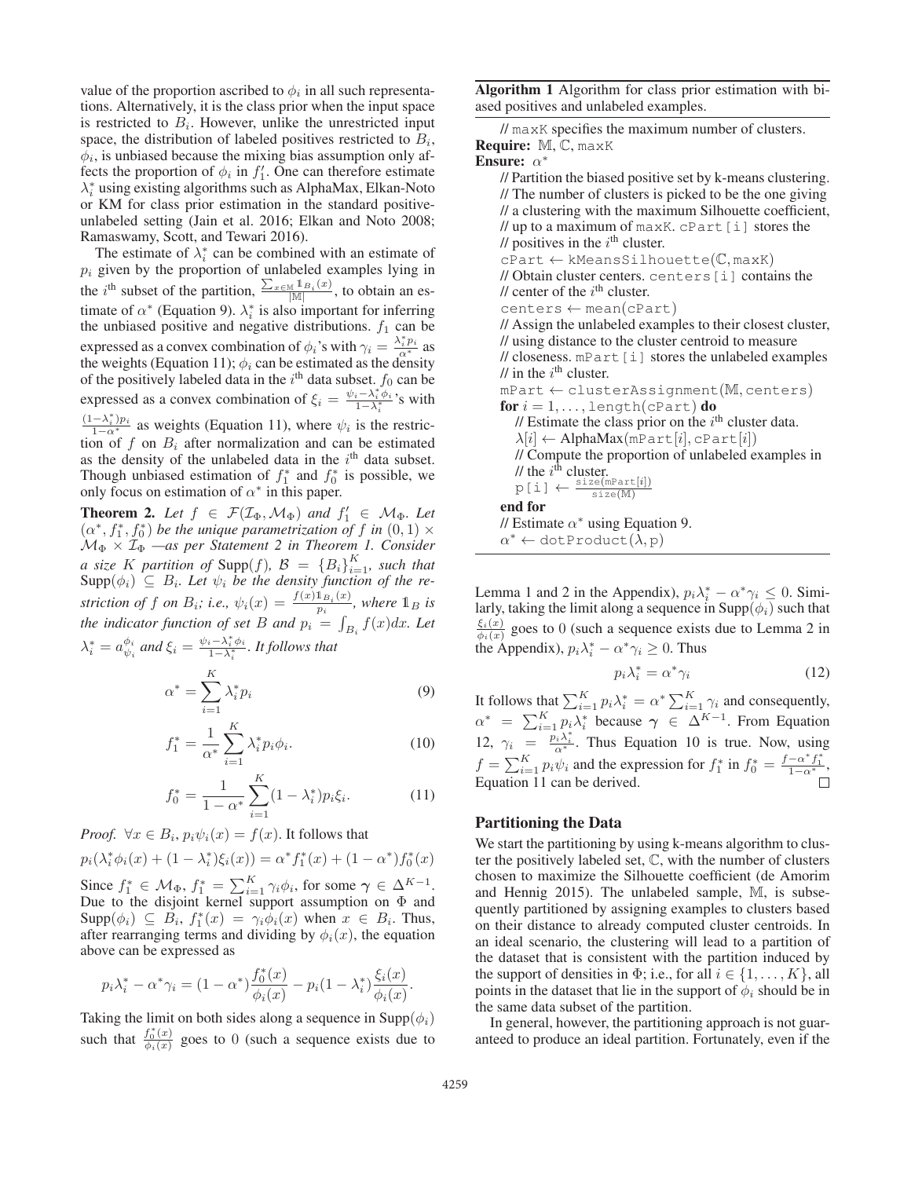value of the proportion ascribed to  $\phi_i$  in all such representations. Alternatively, it is the class prior when the input space is restricted to  $B_i$ . However, unlike the unrestricted input space, the distribution of labeled positives restricted to  $B_i$ ,  $\phi_i$ , is unbiased because the mixing bias assumption only affects the proportion of  $\phi_i$  in  $f'_1$ . One can therefore estimate  $\lambda_i^*$  using existing algorithms such as AlphaMax, Elkan-Noto or KM for class prior estimation in the standard positiveunlabeled setting (Jain et al. 2016; Elkan and Noto 2008; Ramaswamy, Scott, and Tewari 2016).

The estimate of  $\lambda_i^*$  can be combined with an estimate of  $p_i$  given by the proportion of unlabeled examples lying in the *i*<sup>th</sup> subset of the partition,  $\frac{\sum_{x \in M} 1_{B_i}(x)}{|M|}$ , to obtain an estimate of  $\alpha^*$  (Equation 9).  $\lambda_i^*$  is also important for inferring the unbiased positive and negative distributions.  $f_1$  can be expressed as a convex combination of  $\phi_i$ 's with  $\gamma_i = \frac{\lambda_i^* p_i}{\alpha^*}$  as the weights (Equation 11);  $\phi_i$  can be estimated as the density of the positively labeled data in the  $i^{\text{th}}$  data subset.  $f_0$  can be expressed as a convex combination of  $\xi_i = \frac{\psi_i - \lambda_i^* \phi_i}{1 - \lambda^*}$  $\frac{i - \lambda_i \varphi_i}{1 - \lambda_i^*}$ 's with  $\frac{(1-\lambda_i^*)p_i}{1-\alpha^*}$  as weights (Equation 11), where  $\psi_i$  is the restriction of f on  $B_i$  after normalization and can be estimated as the density of the unlabeled data in the  $i<sup>th</sup>$  data subset. Though unbiased estimation of  $f_1^*$  and  $f_0^*$  is possible, we only focus on estimation of  $\alpha^*$  in this paper.

**Theorem 2.** Let  $f \in \mathcal{F}(\mathcal{I}_{\Phi}, \mathcal{M}_{\Phi})$  and  $f'_1 \in \mathcal{M}_{\Phi}$ . Let  $(\alpha^*, f_1^*, f_0^*)$  *be the unique parametrization of* f *in*  $(0, 1) \times$  $\mathcal{M}_{\Phi} \times \mathcal{I}_{\Phi}$  —as per Statement 2 in Theorem 1. Consider *a* size K partition of Supp $(f)$ ,  $\mathcal{B} = \{B_i\}_{i=1}^K$ , such that  $\text{Supp}(\phi_i) \subseteq B_i$ . Let  $\psi_i$  be the density function of the re*striction of* f *on*  $B_i$ ; *i.e.*,  $\psi_i(x) = \frac{f(x) \mathbb{1}_{B_i}(x)}{p_i}$ , where  $\mathbb{1}_B$  *is the indicator function of set* B *and*  $p_i = \int_{B_i} f(x) dx$ *. Let*  $\lambda_i^* = a_{\psi_i}^{\phi_i}$  and  $\xi_i = \frac{\psi_i - \lambda_i^* \phi_i}{1 - \lambda_i^*}$  $\frac{i - \lambda_i \varphi_i}{1 - \lambda_i^*}$ . *It follows that* 

$$
\alpha^* = \sum_{i=1}^K \lambda_i^* p_i \tag{9}
$$

$$
f_1^* = \frac{1}{\alpha^*} \sum_{i=1}^K \lambda_i^* p_i \phi_i.
$$
 (10)

$$
f_0^* = \frac{1}{1 - \alpha^*} \sum_{i=1}^K (1 - \lambda_i^*) p_i \xi_i.
$$
 (11)

*Proof.*  $\forall x \in B_i$ ,  $p_i \psi_i(x) = f(x)$ . It follows that

$$
p_i(\lambda_i^* \phi_i(x) + (1 - \lambda_i^*) \xi_i(x)) = \alpha^* f_1^*(x) + (1 - \alpha^*) f_0^*(x)
$$

Since  $f_1^* \in \mathcal{M}_{\Phi}$ ,  $f_1^* = \sum_{i=1}^K \gamma_i \phi_i$ , for some  $\gamma \in \Delta^{K-1}$ . Due to the disjoint kernel support assumption on  $\Phi$  and  $\text{Supp}(\phi_i) \subseteq \tilde{B_i}, f_1^*(x) = \gamma_i \phi_i(x)$  when  $x \in B_i$ . Thus, after rearranging terms and dividing by  $\phi_i(x)$ , the equation above can be expressed as

$$
p_i \lambda_i^* - \alpha^* \gamma_i = (1 - \alpha^*) \frac{f_0^*(x)}{\phi_i(x)} - p_i (1 - \lambda_i^*) \frac{\xi_i(x)}{\phi_i(x)}.
$$

Taking the limit on both sides along a sequence in  $\text{Supp}(\phi_i)$ such that  $\frac{f_0^*(x)}{\phi_i(x)}$  goes to 0 (such a sequence exists due to

Algorithm 1 Algorithm for class prior estimation with biased positives and unlabeled examples.

|                                                           | // maxK specifies the maximum number of clusters. |  |
|-----------------------------------------------------------|---------------------------------------------------|--|
| $\textbf{Required: } \mathbb{M}, \mathbb{C}, \text{maxK}$ |                                                   |  |

Ensure: α<sup>∗</sup>

| // Partition the biased positive set by k-means clustering.<br>// The number of clusters is picked to be the one giving                                                    |
|----------------------------------------------------------------------------------------------------------------------------------------------------------------------------|
| // a clustering with the maximum Silhouette coefficient,                                                                                                                   |
| // up to a maximum of maxK. cPart [i] stores the                                                                                                                           |
| // positives in the $i^{\text{th}}$ cluster.                                                                                                                               |
| $cPart \leftarrow kMeansSilhouette(\mathbb{C}, \text{maxK})$                                                                                                               |
| // Obtain cluster centers. centers [i] contains the                                                                                                                        |
| // center of the $i^{\text{th}}$ cluster.                                                                                                                                  |
| $centers \leftarrow mean(cPart)$                                                                                                                                           |
| // Assign the unlabeled examples to their closest cluster,                                                                                                                 |
| // using distance to the cluster centroid to measure                                                                                                                       |
| // closeness. mPart [i] stores the unlabeled examples                                                                                                                      |
| // in the $i^{\text{th}}$ cluster.                                                                                                                                         |
| $mPart \leftarrow clusterAssignment(M, centers)$                                                                                                                           |
| for $i = 1, \ldots, \text{length}(cPart)$ do                                                                                                                               |
| // Estimate the class prior on the $ith$ cluster data.                                                                                                                     |
| $\lambda[i] \leftarrow \text{AlphaMax}(\text{mPart}[i], \text{cPart}[i])$                                                                                                  |
| // Compute the proportion of unlabeled examples in                                                                                                                         |
|                                                                                                                                                                            |
| $\begin{array}{l} \text{\it // the $i^{\text{th}}$ cluster.}\\ \text{\it p [i]} \leftarrow \frac{\texttt{size}(\texttt{mPart}[i])}{\texttt{size}(\texttt{M})} \end{array}$ |
| end for                                                                                                                                                                    |
| // Estimate $\alpha^*$ using Equation 9.                                                                                                                                   |
| $\alpha^* \leftarrow \text{dotProduct}(\lambda, p)$                                                                                                                        |

Lemma 1 and 2 in the Appendix),  $p_i \lambda_i^* - \alpha^* \gamma_i \leq 0$ . Similarly, taking the limit along a sequence in  $\text{Supp}(\phi_i)$  such that  $\frac{\xi_i(x)}{\phi_i(x)}$  goes to 0 (such a sequence exists due to Lemma 2 in the Appendix),  $p_i \lambda_i^* - \alpha^* \gamma_i \geq 0$ . Thus

$$
p_i \lambda_i^* = \alpha^* \gamma_i \tag{12}
$$

It follows that  $\sum_{i=1}^{K} p_i \lambda_i^* = \alpha^* \sum_{i=1}^{K} \gamma_i$  and consequently,  $\alpha^*$  =  $\sum_{i=1}^K p_i \lambda_i^*$  because  $\gamma \in \Delta^{K-1}$ . From Equation 12,  $\gamma_i = \frac{p_i \lambda_i^*}{\alpha^*}$ . Thus Equation 10 is true. Now, using  $f = \sum_{i=1}^{K} p_i \psi_i$  and the expression for  $f_1^*$  in  $f_0^* = \frac{f - \alpha^* f_1^*}{1 - \alpha^*}$ Equation 11 can be derived.

# Partitioning the Data

We start the partitioning by using k-means algorithm to cluster the positively labeled set, C, with the number of clusters chosen to maximize the Silhouette coefficient (de Amorim and Hennig 2015). The unlabeled sample, M, is subsequently partitioned by assigning examples to clusters based on their distance to already computed cluster centroids. In an ideal scenario, the clustering will lead to a partition of the dataset that is consistent with the partition induced by the support of densities in  $\Phi$ ; i.e., for all  $i \in \{1, \ldots, K\}$ , all points in the dataset that lie in the support of  $\phi_i$  should be in the same data subset of the partition.

In general, however, the partitioning approach is not guaranteed to produce an ideal partition. Fortunately, even if the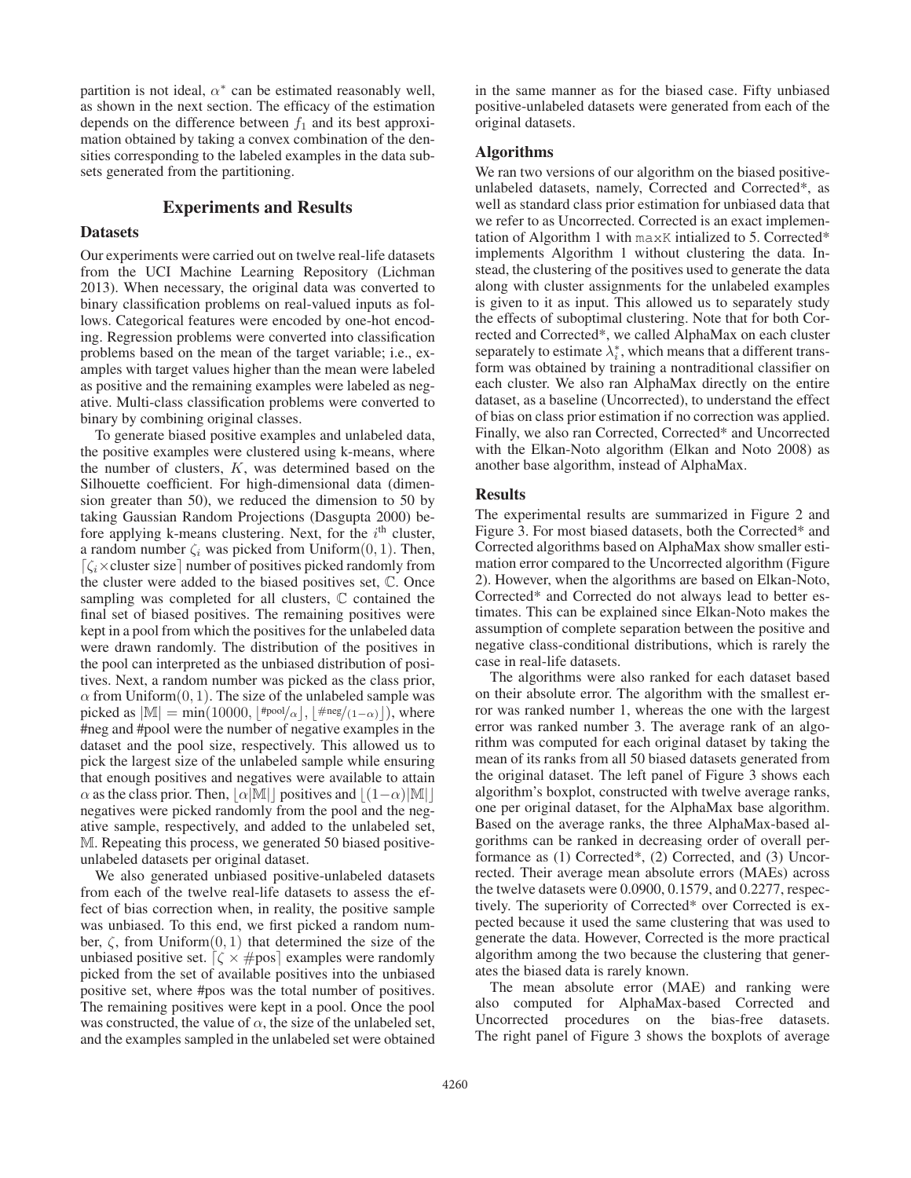partition is not ideal,  $\alpha^*$  can be estimated reasonably well, as shown in the next section. The efficacy of the estimation depends on the difference between  $f_1$  and its best approximation obtained by taking a convex combination of the densities corresponding to the labeled examples in the data subsets generated from the partitioning.

# Experiments and Results

## **Datasets**

Our experiments were carried out on twelve real-life datasets from the UCI Machine Learning Repository (Lichman 2013). When necessary, the original data was converted to binary classification problems on real-valued inputs as follows. Categorical features were encoded by one-hot encoding. Regression problems were converted into classification problems based on the mean of the target variable; i.e., examples with target values higher than the mean were labeled as positive and the remaining examples were labeled as negative. Multi-class classification problems were converted to binary by combining original classes.

To generate biased positive examples and unlabeled data, the positive examples were clustered using k-means, where the number of clusters, K, was determined based on the Silhouette coefficient. For high-dimensional data (dimension greater than 50), we reduced the dimension to 50 by taking Gaussian Random Projections (Dasgupta 2000) before applying k-means clustering. Next, for the  $i<sup>th</sup>$  cluster, a random number  $\zeta_i$  was picked from Uniform $(0, 1)$ . Then,  $\lceil \zeta_i \times \text{cluster size} \rceil$  number of positives picked randomly from the cluster were added to the biased positives set, C. Once sampling was completed for all clusters, C contained the final set of biased positives. The remaining positives were kept in a pool from which the positives for the unlabeled data were drawn randomly. The distribution of the positives in the pool can interpreted as the unbiased distribution of positives. Next, a random number was picked as the class prior,  $\alpha$  from Uniform $(0, 1)$ . The size of the unlabeled sample was picked as  $|\mathbb{M}| = \min(10000, |\text{#pool}/\alpha|, |\text{#neg}/(1-\alpha)|),$  where #neg and #pool were the number of negative examples in the dataset and the pool size, respectively. This allowed us to pick the largest size of the unlabeled sample while ensuring that enough positives and negatives were available to attain  $\alpha$  as the class prior. Then,  $\alpha |M|$  positives and  $\left| (1-\alpha)|M| \right|$ negatives were picked randomly from the pool and the negative sample, respectively, and added to the unlabeled set, M. Repeating this process, we generated 50 biased positiveunlabeled datasets per original dataset.

We also generated unbiased positive-unlabeled datasets from each of the twelve real-life datasets to assess the effect of bias correction when, in reality, the positive sample was unbiased. To this end, we first picked a random number,  $\zeta$ , from Uniform $(0, 1)$  that determined the size of the unbiased positive set.  $\lceil \zeta \times \text{\#pos} \rceil$  examples were randomly picked from the set of available positives into the unbiased positive set, where #pos was the total number of positives. The remaining positives were kept in a pool. Once the pool was constructed, the value of  $\alpha$ , the size of the unlabeled set, and the examples sampled in the unlabeled set were obtained

in the same manner as for the biased case. Fifty unbiased positive-unlabeled datasets were generated from each of the original datasets.

## Algorithms

We ran two versions of our algorithm on the biased positiveunlabeled datasets, namely, Corrected and Corrected\*, as well as standard class prior estimation for unbiased data that we refer to as Uncorrected. Corrected is an exact implementation of Algorithm 1 with maxK intialized to 5. Corrected\* implements Algorithm 1 without clustering the data. Instead, the clustering of the positives used to generate the data along with cluster assignments for the unlabeled examples is given to it as input. This allowed us to separately study the effects of suboptimal clustering. Note that for both Corrected and Corrected\*, we called AlphaMax on each cluster separately to estimate  $\lambda_i^*$ , which means that a different transform was obtained by training a nontraditional classifier on each cluster. We also ran AlphaMax directly on the entire dataset, as a baseline (Uncorrected), to understand the effect of bias on class prior estimation if no correction was applied. Finally, we also ran Corrected, Corrected\* and Uncorrected with the Elkan-Noto algorithm (Elkan and Noto 2008) as another base algorithm, instead of AlphaMax.

#### Results

The experimental results are summarized in Figure 2 and Figure 3. For most biased datasets, both the Corrected\* and Corrected algorithms based on AlphaMax show smaller estimation error compared to the Uncorrected algorithm (Figure 2). However, when the algorithms are based on Elkan-Noto, Corrected\* and Corrected do not always lead to better estimates. This can be explained since Elkan-Noto makes the assumption of complete separation between the positive and negative class-conditional distributions, which is rarely the case in real-life datasets.

The algorithms were also ranked for each dataset based on their absolute error. The algorithm with the smallest error was ranked number 1, whereas the one with the largest error was ranked number 3. The average rank of an algorithm was computed for each original dataset by taking the mean of its ranks from all 50 biased datasets generated from the original dataset. The left panel of Figure 3 shows each algorithm's boxplot, constructed with twelve average ranks, one per original dataset, for the AlphaMax base algorithm. Based on the average ranks, the three AlphaMax-based algorithms can be ranked in decreasing order of overall performance as (1) Corrected\*, (2) Corrected, and (3) Uncorrected. Their average mean absolute errors (MAEs) across the twelve datasets were 0.0900, 0.1579, and 0.2277, respectively. The superiority of Corrected\* over Corrected is expected because it used the same clustering that was used to generate the data. However, Corrected is the more practical algorithm among the two because the clustering that generates the biased data is rarely known.

The mean absolute error (MAE) and ranking were also computed for AlphaMax-based Corrected and Uncorrected procedures on the bias-free datasets. The right panel of Figure 3 shows the boxplots of average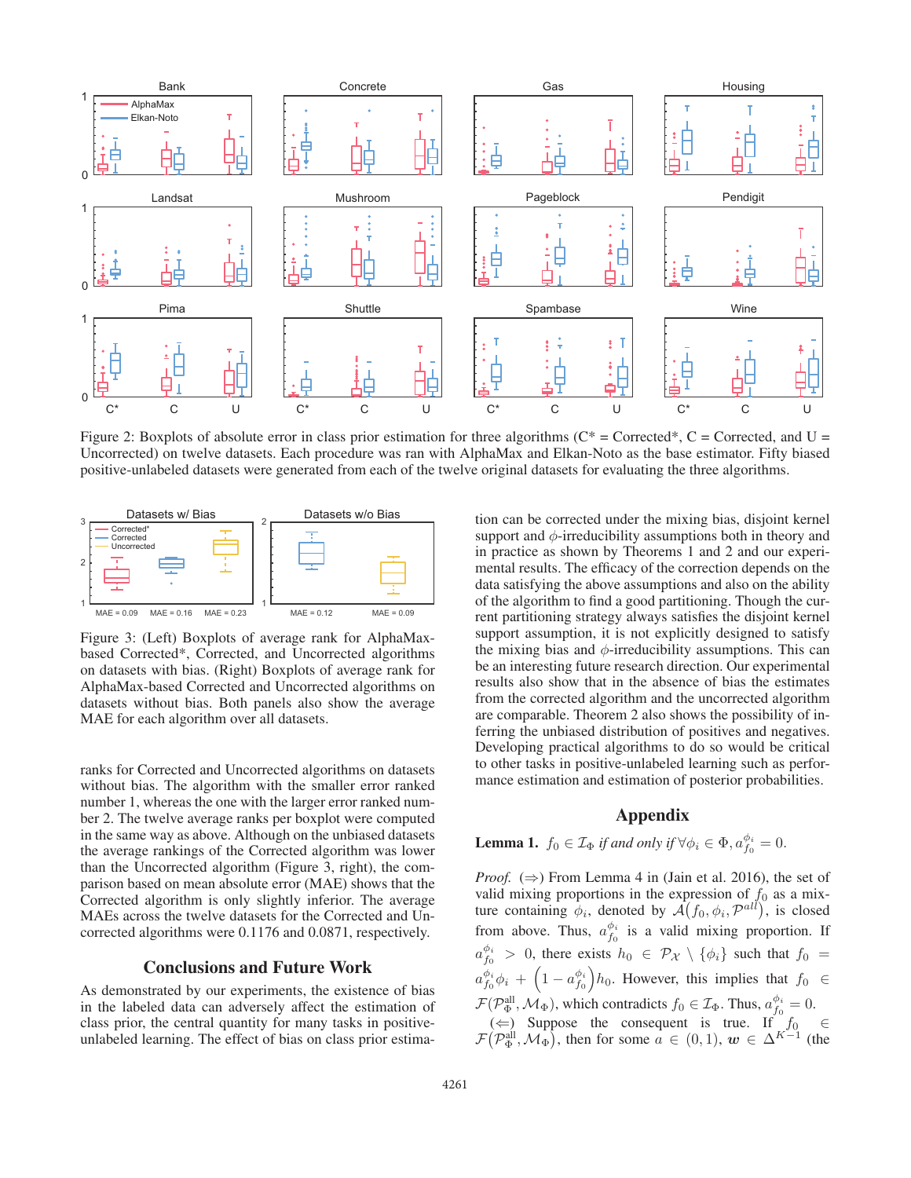

Figure 2: Boxplots of absolute error in class prior estimation for three algorithms ( $C^*$  = Corrected\*, C = Corrected, and U = Uncorrected) on twelve datasets. Each procedure was ran with AlphaMax and Elkan-Noto as the base estimator. Fifty biased positive-unlabeled datasets were generated from each of the twelve original datasets for evaluating the three algorithms.



Figure 3: (Left) Boxplots of average rank for AlphaMaxbased Corrected\*, Corrected, and Uncorrected algorithms on datasets with bias. (Right) Boxplots of average rank for AlphaMax-based Corrected and Uncorrected algorithms on datasets without bias. Both panels also show the average MAE for each algorithm over all datasets.

ranks for Corrected and Uncorrected algorithms on datasets without bias. The algorithm with the smaller error ranked number 1, whereas the one with the larger error ranked number 2. The twelve average ranks per boxplot were computed in the same way as above. Although on the unbiased datasets the average rankings of the Corrected algorithm was lower than the Uncorrected algorithm (Figure 3, right), the comparison based on mean absolute error (MAE) shows that the Corrected algorithm is only slightly inferior. The average MAEs across the twelve datasets for the Corrected and Uncorrected algorithms were 0.1176 and 0.0871, respectively.

## Conclusions and Future Work

As demonstrated by our experiments, the existence of bias in the labeled data can adversely affect the estimation of class prior, the central quantity for many tasks in positiveunlabeled learning. The effect of bias on class prior estima-

tion can be corrected under the mixing bias, disjoint kernel support and  $\phi$ -irreducibility assumptions both in theory and in practice as shown by Theorems 1 and 2 and our experimental results. The efficacy of the correction depends on the data satisfying the above assumptions and also on the ability of the algorithm to find a good partitioning. Though the current partitioning strategy always satisfies the disjoint kernel support assumption, it is not explicitly designed to satisfy the mixing bias and  $\phi$ -irreducibility assumptions. This can be an interesting future research direction. Our experimental results also show that in the absence of bias the estimates from the corrected algorithm and the uncorrected algorithm are comparable. Theorem 2 also shows the possibility of inferring the unbiased distribution of positives and negatives. Developing practical algorithms to do so would be critical to other tasks in positive-unlabeled learning such as performance estimation and estimation of posterior probabilities.

# Appendix

**Lemma 1.**  $f_0 \in \mathcal{I}_{\Phi}$  if and only if  $\forall \phi_i \in \Phi$ ,  $a_{f_0}^{\phi_i} = 0$ .

*Proof.*  $(\Rightarrow)$  From Lemma 4 in (Jain et al. 2016), the set of valid mixing proportions in the expression of  $f_0$  as a mixture containing  $\dot{\phi}_i$ , denoted by  $\mathcal{A}(f_0, \phi_i, \mathcal{P}^{all})$ , is closed from above. Thus,  $a_{f_0}^{\phi_i}$  is a valid mixing proportion. If  $a_{f_0}^{\phi_i} > 0$ , there exists  $h_0 \in \mathcal{P}_{\mathcal{X}} \setminus \{\phi_i\}$  such that  $f_0 =$  $a_{f_0}^{\phi_i} \phi_i + \left(1-a_{f_0}^{\phi_i}\right) h_0$ . However, this implies that  $f_0 \in$  $\mathcal{F}(\mathcal{P}_{\Phi}^{\text{all}},\mathcal{M}_{\Phi})$ , which contradicts  $f_0 \in \mathcal{I}_{\Phi}$ . Thus,  $a_{f_0}^{\phi_i} = 0$ . (←) Suppose the consequent is true. If  $f_0$  ∈  $\mathcal{F}(\mathcal{P}_{\Phi}^{\text{all}}, \mathcal{M}_{\Phi})$ , then for some  $a \in (0, 1)$ ,  $\mathbf{w} \in \Delta^{K-1}$  (the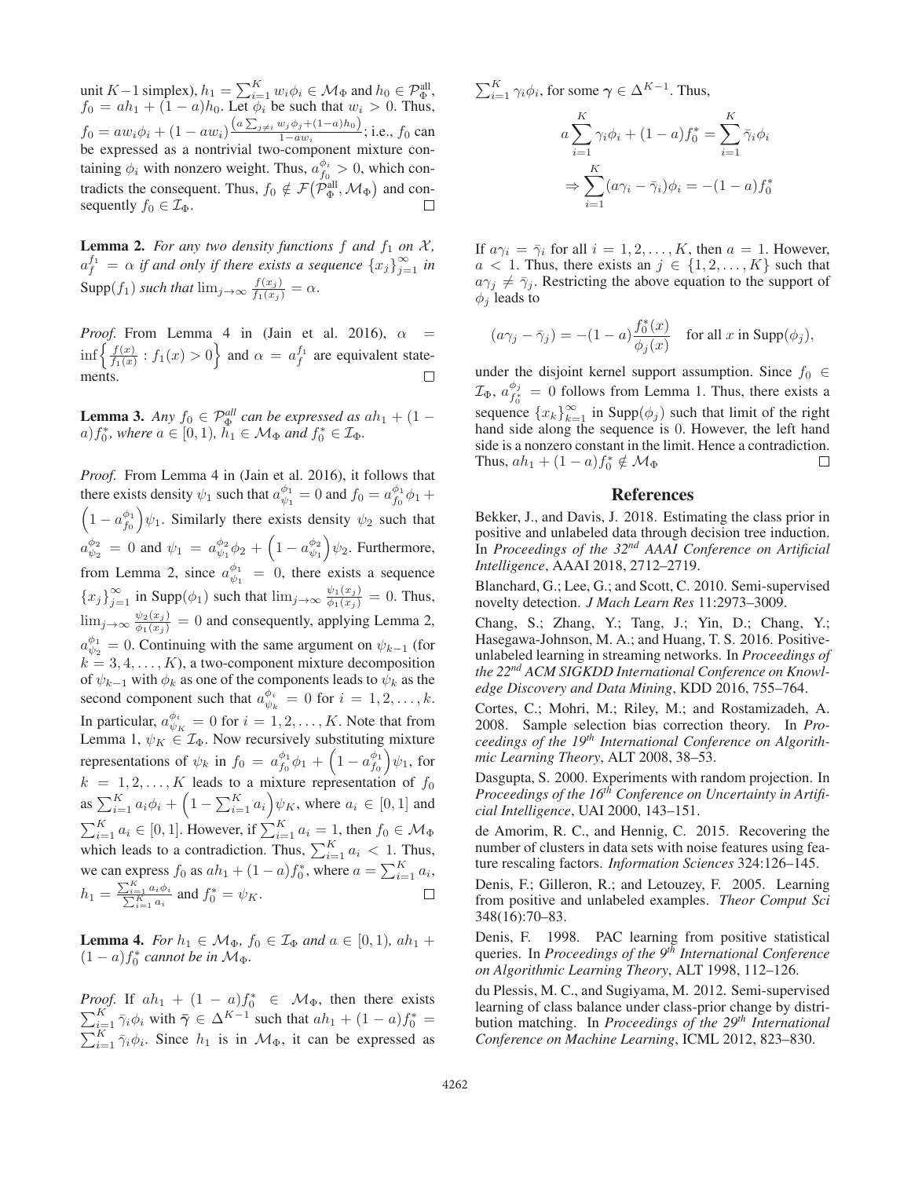unit K – 1 simplex),  $h_1 = \sum_{i=1}^{K} w_i \phi_i \in \mathcal{M}_{\Phi}$  and  $h_0 \in \mathcal{P}_{\Phi}^{\text{all}}$ ,  $f_0 = ah_1 + (1 - a)h_0$ . Let  $\phi_i$  be such that  $w_i > 0$ . Thus,  $f_0 = aw_i\phi_i + (1 - aw_i)\frac{(a\sum_{j\neq i} w_j\phi_j + (1 - a)h_0)}{1 - aw_i}$ ; i.e.,  $f_0$  can be expressed as a nontrivial two-component mixture containing  $\phi_i$  with nonzero weight. Thus,  $a_{f_0}^{\phi_i} > 0$ , which contradicts the consequent. Thus,  $f_0 \notin \mathcal{F}(\mathcal{P}_{\Phi}^{\text{all}}, \mathcal{M}_{\Phi})$  and consequently  $f_0 \in \mathcal{I}_{\Phi}$ .

**Lemma 2.** For any two density functions  $f$  and  $f_1$  on  $\mathcal{X}$ ,  $a_f^{f_1} = \alpha$  if and only if there exists a sequence  $\{x_j\}_{j=1}^{\infty}$  in  $\text{Supp}(f_1)$  *such that*  $\lim_{j\to\infty} \frac{f(x_j)}{f_1(x_j)} = \alpha$ .

*Proof.* From Lemma 4 in (Jain et al. 2016),  $\alpha$  $\inf \left\{ \frac{f(x)}{f_1(x)} : f_1(x) > 0 \right\}$  and  $\alpha = a_f^{f_1}$  are equivalent statements.  $\Box$ 

**Lemma 3.** *Any*  $f_0 \in \mathcal{P}_{\Phi}^{all}$  *can be expressed as*  $ah_1 + (1 - b)$  $a) f_0^*$ , where  $a \in [0, 1)$ ,  $h_1 \in \mathcal{M}_{\Phi}$  and  $f_0^* \in \mathcal{I}_{\Phi}$ .

*Proof.* From Lemma 4 in (Jain et al. 2016), it follows that there exists density  $\psi_1$  such that  $a_{\psi_1}^{\phi_1} = 0$  and  $f_0 = a_{f_0}^{\phi_1} \phi_1 +$  $\left(1 - a_{f_0}^{\phi_1}\right) \psi_1$ . Similarly there exists density  $\psi_2$  such that  $a_{\psi_2}^{\phi_2} = 0$  and  $\psi_1 = a_{\psi_1}^{\phi_2} \phi_2 + \left(1 - a_{\psi_1}^{\phi_2}\right) \psi_2$ . Furthermore, from Lemma 2, since  $a_{\psi_1}^{\phi_1} = 0$ , there exists a sequence  ${x_j}_{j=1}^{\infty}$  in Supp $(\phi_1)$  such that  $\lim_{j\to\infty} \frac{\psi_1(x_j)}{\phi_1(x_j)} = 0$ . Thus,  $\lim_{j \to \infty} \frac{\psi_2(x_j)}{\phi_1(x_j)} = 0$  and consequently, applying Lemma 2,  $a_{\psi_2}^{\phi_1} = 0$ . Continuing with the same argument on  $\psi_{k-1}$  (for  $k = 3, 4, \ldots, K$ , a two-component mixture decomposition of  $\psi_{k-1}$  with  $\phi_k$  as one of the components leads to  $\psi_k$  as the second component such that  $a_{\psi_k}^{\phi_i} = 0$  for  $i = 1, 2, \dots, k$ . In particular,  $a_{\psi_K}^{\phi_i} = 0$  for  $i = 1, 2, \dots, K$ . Note that from Lemma 1,  $\psi_K \in \mathcal{I}_{\Phi}$ . Now recursively substituting mixture representations of  $\psi_k$  in  $f_0 = a_{f_0}^{\phi_1} \phi_1 + \left(1 - a_{f_0}^{\phi_1}\right) \psi_1$ , for  $k = 1, 2, \ldots, K$  leads to a mixture representation of  $f_0$ as  $\sum_{i=1}^{K} a_i \phi_i + \left(1 - \sum_{i=1}^{K} a_i\right) \psi_K$ , where  $a_i \in [0, 1]$  and  $\sum_{i=1}^{K} a_i \in [0,1]$ . However, if  $\sum_{i=1}^{K} a_i = 1$ , then  $f_0 \in \mathcal{M}_{\Phi}$ which leads to a contradiction. Thus,  $\sum_{i=1}^{K} a_i < 1$ . Thus, we can express  $f_0$  as  $ah_1 + (1 - a)f_0^*$ , where  $a = \sum_{i=1}^K a_i$ ,  $h_1 = \frac{\sum_{i=1}^{K} a_i \phi_i}{\sum_{i=1}^{K} a_i}$  and  $f_0^* = \psi_K$ .

**Lemma 4.** *For*  $h_1 \in \mathcal{M}_{\Phi}$ ,  $f_0 \in \mathcal{I}_{\Phi}$  and  $a \in [0, 1)$ ,  $ah_1 +$  $(1 - a)f_0^*$  *cannot be in*  $\mathcal{M}_{\Phi}$ *.* 

*Proof.* If  $ah_1 + (1 - a)f_0^* \in \mathcal{M}_{\Phi}$ , then there exists  $\sum_{i=1}^{K} \bar{\gamma}_i \phi_i$  with  $\bar{\gamma} \in \Delta^{K-1}$  such that  $ah_1 + (1 - a)f_0^* =$  $\sum_{i=1}^{K} \bar{\gamma}_i \phi_i$ . Since  $h_1$  is in  $\mathcal{M}_{\Phi}$ , it can be expressed as  $\sum_{i=1}^{K} \gamma_i \phi_i$ , for some  $\gamma \in \Delta^{K-1}$ . Thus,

$$
a \sum_{i=1}^{K} \gamma_i \phi_i + (1 - a) f_0^* = \sum_{i=1}^{K} \overline{\gamma}_i \phi_i
$$

$$
\Rightarrow \sum_{i=1}^{K} (a \gamma_i - \overline{\gamma}_i) \phi_i = -(1 - a) f_0^*
$$

If  $a\gamma_i = \overline{\gamma}_i$  for all  $i = 1, 2, \dots, K$ , then  $a = 1$ . However,  $a < 1$ . Thus, there exists an  $j \in \{1, 2, ..., K\}$  such that  $a\gamma_j \neq \overline{\gamma}_j$ . Restricting the above equation to the support of  $\phi_i$  leads to

$$
(a\gamma_j - \bar{\gamma}_j) = -(1-a)\frac{f_0^*(x)}{\phi_j(x)} \quad \text{for all } x \text{ in } \text{Supp}(\phi_j),
$$

under the disjoint kernel support assumption. Since  $f_0 \in$  $\mathcal{I}_{\Phi}$ ,  $a_{f_0^*}^{\phi_j} = 0$  follows from Lemma 1. Thus, there exists a sequence  ${x_k}_{k=1}^{\infty}$  in Supp $(\phi_j)$  such that limit of the right hand side along the sequence is 0. However, the left hand side is a nonzero constant in the limit. Hence a contradiction. Thus,  $ah_1 + (1 - a)f_0^* \notin \mathcal{M}_{\Phi}$  $\Box$ 

## References

Bekker, J., and Davis, J. 2018. Estimating the class prior in positive and unlabeled data through decision tree induction. In *Proceedings of the 32nd AAAI Conference on Artificial Intelligence*, AAAI 2018, 2712–2719.

Blanchard, G.; Lee, G.; and Scott, C. 2010. Semi-supervised novelty detection. *J Mach Learn Res* 11:2973–3009.

Chang, S.; Zhang, Y.; Tang, J.; Yin, D.; Chang, Y.; Hasegawa-Johnson, M. A.; and Huang, T. S. 2016. Positiveunlabeled learning in streaming networks. In *Proceedings of the 22nd ACM SIGKDD International Conference on Knowledge Discovery and Data Mining*, KDD 2016, 755–764.

Cortes, C.; Mohri, M.; Riley, M.; and Rostamizadeh, A. 2008. Sample selection bias correction theory. In *Proceedings of the 19th International Conference on Algorithmic Learning Theory*, ALT 2008, 38–53.

Dasgupta, S. 2000. Experiments with random projection. In *Proceedings of the 16th Conference on Uncertainty in Artificial Intelligence*, UAI 2000, 143–151.

de Amorim, R. C., and Hennig, C. 2015. Recovering the number of clusters in data sets with noise features using feature rescaling factors. *Information Sciences* 324:126–145.

Denis, F.; Gilleron, R.; and Letouzey, F. 2005. Learning from positive and unlabeled examples. *Theor Comput Sci* 348(16):70–83.

Denis, F. 1998. PAC learning from positive statistical queries. In *Proceedings of the 9th International Conference on Algorithmic Learning Theory*, ALT 1998, 112–126.

du Plessis, M. C., and Sugiyama, M. 2012. Semi-supervised learning of class balance under class-prior change by distribution matching. In *Proceedings of the 29th International Conference on Machine Learning*, ICML 2012, 823–830.